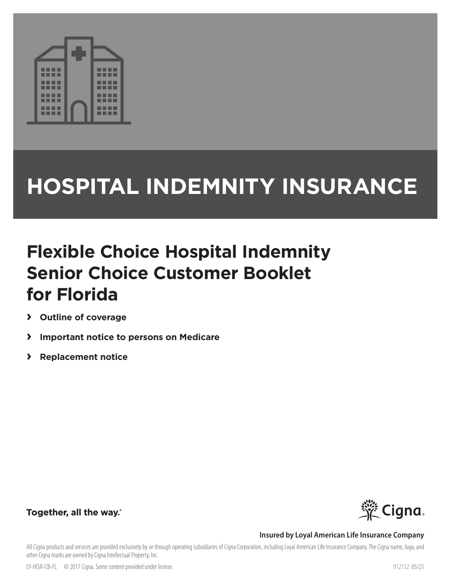

# **HOSPITAL INDEMNITY INSURANCE**

## **Flexible Choice Hospital Indemnity Senior Choice Customer Booklet for Florida**

- **› Outline of coverage**
- **› Important notice to persons on Medicare**
- **› Replacement notice**



## Together, all the way.

#### **Insured by Loyal American Life Insurance Company**

All Cigna products and services are provided exclusively by or through operating subsidiaries of Cigna Corporation, including Loyal American Life Insurance Company. The Cigna name, logo, and other Cigna marks are owned by Cigna Intellectual Property, Inc.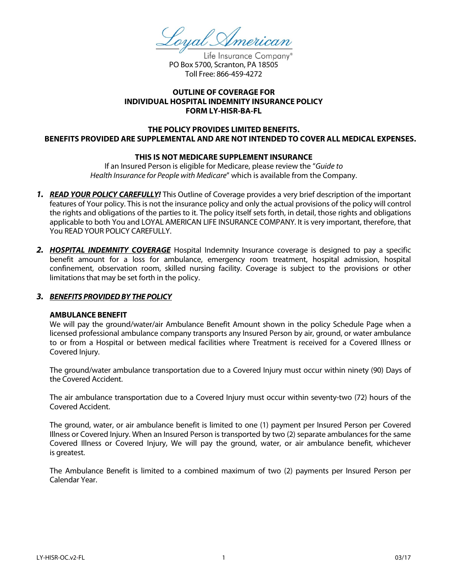loyal American

Life Insurance Company® PO Box 5700, Scranton, PA 18505 Toll Free: 866-459-4272

#### **OUTLINE OF COVERAGE FOR INDIVIDUAL HOSPITAL INDEMNITY INSURANCE POLICY FORM LY-HISR-BA-FL**

#### **THE POLICY PROVIDES LIMITED BENEFITS. BENEFITS PROVIDED ARE SUPPLEMENTAL AND ARE NOT INTENDED TO COVER ALL MEDICAL EXPENSES.**

#### **THIS IS NOT MEDICARE SUPPLEMENT INSURANCE**

If an Insured Person is eligible for Medicare, please review the "*Guide to Health Insurance for People with Medicare*" which is available from the Company.

- *1. READ YOUR POLICY CAREFULLY!* This Outline of Coverage provides a very brief description of the important features of Your policy. This is not the insurance policy and only the actual provisions of the policy will control the rights and obligations of the parties to it. The policy itself sets forth, in detail, those rights and obligations applicable to both You and LOYAL AMERICAN LIFE INSURANCE COMPANY*.* It is very important, therefore, that You READ YOUR POLICY CAREFULLY.
- *2. HOSPITAL INDEMNITY COVERAGE* Hospital Indemnity Insurance coverage is designed to pay a specific benefit amount for a loss for ambulance, emergency room treatment, hospital admission, hospital confinement, observation room, skilled nursing facility. Coverage is subject to the provisions or other limitations that may be set forth in the policy.

#### *3. BENEFITS PROVIDED BY THE POLICY*

#### **AMBULANCE BENEFIT**

We will pay the ground/water/air Ambulance Benefit Amount shown in the policy Schedule Page when a licensed professional ambulance company transports any Insured Person by air, ground, or water ambulance to or from a Hospital or between medical facilities where Treatment is received for a Covered Illness or Covered Injury.

The ground/water ambulance transportation due to a Covered Injury must occur within ninety (90) Days of the Covered Accident.

The air ambulance transportation due to a Covered Injury must occur within seventy-two (72) hours of the Covered Accident.

The ground, water, or air ambulance benefit is limited to one (1) payment per Insured Person per Covered Illness or Covered Injury. When an Insured Person is transported by two (2) separate ambulances for the same Covered Illness or Covered Injury, We will pay the ground, water, or air ambulance benefit, whichever is greatest.

The Ambulance Benefit is limited to a combined maximum of two (2) payments per Insured Person per Calendar Year.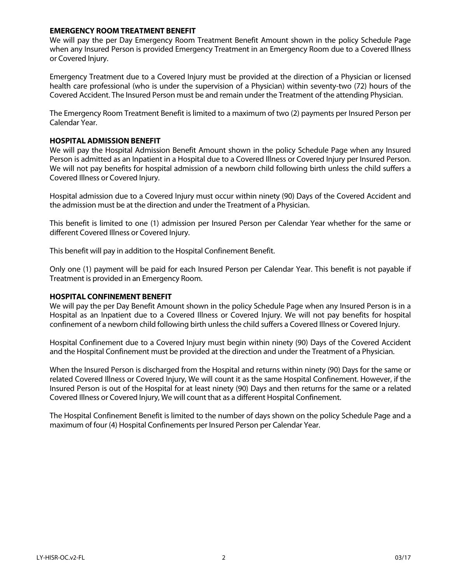#### **EMERGENCY ROOM TREATMENT BENEFIT**

We will pay the per Day Emergency Room Treatment Benefit Amount shown in the policy Schedule Page when any Insured Person is provided Emergency Treatment in an Emergency Room due to a Covered Illness or Covered Injury.

Emergency Treatment due to a Covered Injury must be provided at the direction of a Physician or licensed health care professional (who is under the supervision of a Physician) within seventy-two (72) hours of the Covered Accident. The Insured Person must be and remain under the Treatment of the attending Physician.

The Emergency Room Treatment Benefit is limited to a maximum of two (2) payments per Insured Person per Calendar Year.

#### **HOSPITAL ADMISSION BENEFIT**

We will pay the Hospital Admission Benefit Amount shown in the policy Schedule Page when any Insured Person is admitted as an Inpatient in a Hospital due to a Covered Illness or Covered Injury per Insured Person. We will not pay benefits for hospital admission of a newborn child following birth unless the child suffers a Covered Illness or Covered Injury.

Hospital admission due to a Covered Injury must occur within ninety (90) Days of the Covered Accident and the admission must be at the direction and under the Treatment of a Physician.

This benefit is limited to one (1) admission per Insured Person per Calendar Year whether for the same or different Covered Illness or Covered Injury.

This benefit will pay in addition to the Hospital Confinement Benefit.

Only one (1) payment will be paid for each Insured Person per Calendar Year. This benefit is not payable if Treatment is provided in an Emergency Room.

#### **HOSPITAL CONFINEMENT BENEFIT**

We will pay the per Day Benefit Amount shown in the policy Schedule Page when any Insured Person is in a Hospital as an Inpatient due to a Covered Illness or Covered Injury. We will not pay benefits for hospital confinement of a newborn child following birth unless the child suffers a Covered Illness or Covered Injury.

Hospital Confinement due to a Covered Injury must begin within ninety (90) Days of the Covered Accident and the Hospital Confinement must be provided at the direction and under the Treatment of a Physician.

When the Insured Person is discharged from the Hospital and returns within ninety (90) Days for the same or related Covered Illness or Covered Injury, We will count it as the same Hospital Confinement. However, if the Insured Person is out of the Hospital for at least ninety (90) Days and then returns for the same or a related Covered Illness or Covered Injury, We will count that as a different Hospital Confinement.

The Hospital Confinement Benefit is limited to the number of days shown on the policy Schedule Page and a maximum of four (4) Hospital Confinements per Insured Person per Calendar Year.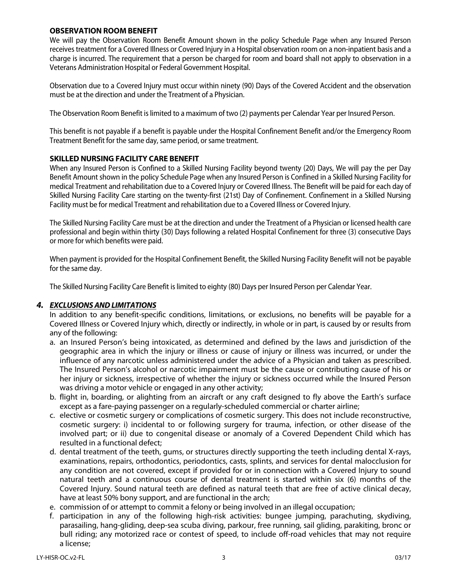#### **OBSERVATION ROOM BENEFIT**

We will pay the Observation Room Benefit Amount shown in the policy Schedule Page when any Insured Person receives treatment for a Covered Illness or Covered Injury in a Hospital observation room on a non-inpatient basis and a charge is incurred. The requirement that a person be charged for room and board shall not apply to observation in a Veterans Administration Hospital or Federal Government Hospital.

Observation due to a Covered Injury must occur within ninety (90) Days of the Covered Accident and the observation must be at the direction and under the Treatment of a Physician.

The Observation Room Benefit is limited to a maximum of two (2) payments per Calendar Year per Insured Person.

This benefit is not payable if a benefit is payable under the Hospital Confinement Benefit and/or the Emergency Room Treatment Benefit for the same day, same period, or same treatment.

#### **SKILLED NURSING FACILITY CARE BENEFIT**

When any Insured Person is Confined to a Skilled Nursing Facility beyond twenty (20) Days, We will pay the per Day Benefit Amount shown in the policy Schedule Page when any Insured Person is Confined in a Skilled Nursing Facility for medical Treatment and rehabilitation due to a Covered Injury or Covered Illness. The Benefit will be paid for each day of Skilled Nursing Facility Care starting on the twenty-first (21st) Day of Confinement. Confinement in a Skilled Nursing Facility must be for medical Treatment and rehabilitation due to a Covered Illness or Covered Injury.

The Skilled Nursing Facility Care must be at the direction and under the Treatment of a Physician or licensed health care professional and begin within thirty (30) Days following a related Hospital Confinement for three (3) consecutive Days or more for which benefits were paid.

When payment is provided for the Hospital Confinement Benefit, the Skilled Nursing Facility Benefit will not be payable for the same day.

The Skilled Nursing Facility Care Benefit is limited to eighty (80) Days per Insured Person per Calendar Year.

#### *4. EXCLUSIONS AND LIMITATIONS*

In addition to any benefit-specific conditions, limitations, or exclusions, no benefits will be payable for a Covered Illness or Covered Injury which, directly or indirectly, in whole or in part, is caused by or results from any of the following:

- a. an Insured Person's being intoxicated, as determined and defined by the laws and jurisdiction of the geographic area in which the injury or illness or cause of injury or illness was incurred, or under the influence of any narcotic unless administered under the advice of a Physician and taken as prescribed. The Insured Person's alcohol or narcotic impairment must be the cause or contributing cause of his or her injury or sickness, irrespective of whether the injury or sickness occurred while the Insured Person was driving a motor vehicle or engaged in any other activity;
- b. flight in, boarding, or alighting from an aircraft or any craft designed to fly above the Earth's surface except as a fare-paying passenger on a regularly-scheduled commercial or charter airline;
- c. elective or cosmetic surgery or complications of cosmetic surgery. This does not include reconstructive, cosmetic surgery: i) incidental to or following surgery for trauma, infection, or other disease of the involved part; or ii) due to congenital disease or anomaly of a Covered Dependent Child which has resulted in a functional defect;
- d. dental treatment of the teeth, gums, or structures directly supporting the teeth including dental X-rays, examinations, repairs, orthodontics, periodontics, casts, splints, and services for dental malocclusion for any condition are not covered, except if provided for or in connection with a Covered Injury to sound natural teeth and a continuous course of dental treatment is started within six (6) months of the Covered Injury. Sound natural teeth are defined as natural teeth that are free of active clinical decay, have at least 50% bony support, and are functional in the arch;
- e. commission of or attempt to commit a felony or being involved in an illegal occupation;
- f. participation in any of the following high-risk activities: bungee jumping, parachuting, skydiving, parasailing, hang-gliding, deep-sea scuba diving, parkour, free running, sail gliding, parakiting, bronc or bull riding; any motorized race or contest of speed, to include off-road vehicles that may not require a license;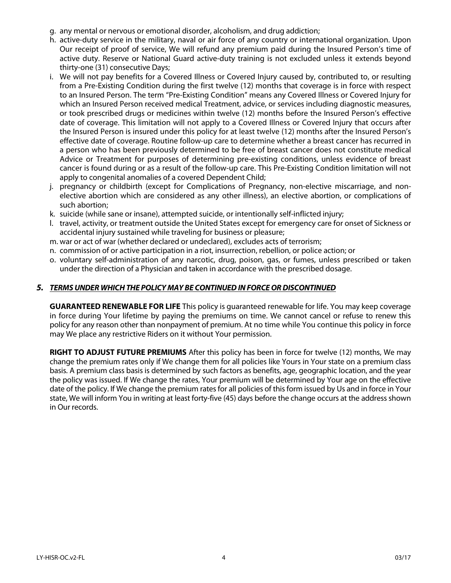- g. any mental or nervous or emotional disorder, alcoholism, and drug addiction;
- h. active-duty service in the military, naval or air force of any country or international organization. Upon Our receipt of proof of service, We will refund any premium paid during the Insured Person's time of active duty. Reserve or National Guard active-duty training is not excluded unless it extends beyond thirty-one (31) consecutive Days;
- i. We will not pay benefits for a Covered Illness or Covered Injury caused by, contributed to, or resulting from a Pre-Existing Condition during the first twelve (12) months that coverage is in force with respect to an Insured Person. The term "Pre-Existing Condition" means any Covered Illness or Covered Injury for which an Insured Person received medical Treatment, advice, or services including diagnostic measures, or took prescribed drugs or medicines within twelve (12) months before the Insured Person's effective date of coverage. This limitation will not apply to a Covered Illness or Covered Injury that occurs after the Insured Person is insured under this policy for at least twelve (12) months after the Insured Person's effective date of coverage. Routine follow-up care to determine whether a breast cancer has recurred in a person who has been previously determined to be free of breast cancer does not constitute medical Advice or Treatment for purposes of determining pre-existing conditions, unless evidence of breast cancer is found during or as a result of the follow-up care. This Pre-Existing Condition limitation will not apply to congenital anomalies of a covered Dependent Child;
- j. pregnancy or childbirth (except for Complications of Pregnancy, non-elective miscarriage, and nonelective abortion which are considered as any other illness), an elective abortion, or complications of such abortion;
- k. suicide (while sane or insane), attempted suicide, or intentionally self-inflicted injury;
- l. travel, activity, or treatment outside the United States except for emergency care for onset of Sickness or accidental injury sustained while traveling for business or pleasure;
- m. war or act of war (whether declared or undeclared), excludes acts of terrorism;
- n. commission of or active participation in a riot, insurrection, rebellion, or police action; or
- o. voluntary self-administration of any narcotic, drug, poison, gas, or fumes, unless prescribed or taken under the direction of a Physician and taken in accordance with the prescribed dosage.

#### *5. TERMS UNDER WHICH THE POLICY MAY BE CONTINUED IN FORCE OR DISCONTINUED*

**GUARANTEED RENEWABLE FOR LIFE** This policy is guaranteed renewable for life. You may keep coverage in force during Your lifetime by paying the premiums on time. We cannot cancel or refuse to renew this policy for any reason other than nonpayment of premium. At no time while You continue this policy in force may We place any restrictive Riders on it without Your permission.

**RIGHT TO ADJUST FUTURE PREMIUMS** After this policy has been in force for twelve (12) months, We may change the premium rates only if We change them for all policies like Yours in Your state on a premium class basis. A premium class basis is determined by such factors as benefits, age, geographic location, and the year the policy was issued. If We change the rates, Your premium will be determined by Your age on the effective date of the policy. If We change the premium rates for all policies of this form issued by Us and in force in Your state, We will inform You in writing at least forty-five (45) days before the change occurs at the address shown in Our records.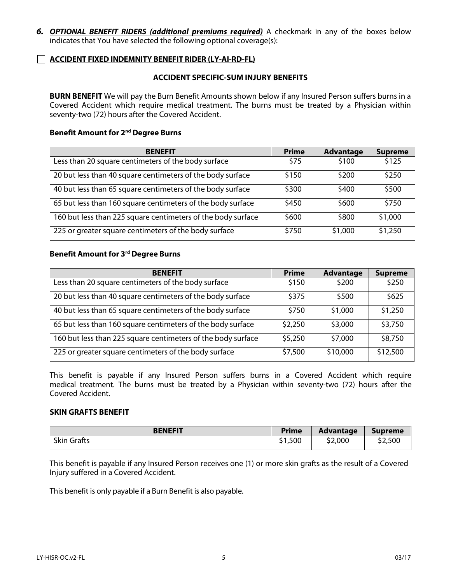*6. OPTIONAL BENEFIT RIDERS (additional premiums required)* A checkmark in any of the boxes below indicates that You have selected the following optional coverage(s):

#### **ACCIDENT FIXED INDEMNITY BENEFIT RIDER (LY-AI-RD-FL)**

#### **ACCIDENT SPECIFIC-SUM INJURY BENEFITS**

**BURN BENEFIT** We will pay the Burn Benefit Amounts shown below if any Insured Person suffers burns in a Covered Accident which require medical treatment. The burns must be treated by a Physician within seventy-two (72) hours after the Covered Accident.

#### **Benefit Amount for 2nd Degree Burns**

| <b>BENEFIT</b>                                               | <b>Prime</b> | <b>Advantage</b> | <b>Supreme</b> |
|--------------------------------------------------------------|--------------|------------------|----------------|
| Less than 20 square centimeters of the body surface          | \$75         | \$100            | \$125          |
| 20 but less than 40 square centimeters of the body surface   | \$150        | \$200            | \$250          |
| 40 but less than 65 square centimeters of the body surface   | \$300        | \$400            | \$500          |
| 65 but less than 160 square centimeters of the body surface  | \$450        | \$600            | \$750          |
| 160 but less than 225 square centimeters of the body surface | \$600        | \$800            | \$1,000        |
| 225 or greater square centimeters of the body surface        | \$750        | \$1,000          | \$1,250        |

#### **Benefit Amount for 3rd Degree Burns**

| <b>BENEFIT</b>                                               | <b>Prime</b> | <b>Advantage</b> | <b>Supreme</b> |
|--------------------------------------------------------------|--------------|------------------|----------------|
| Less than 20 square centimeters of the body surface          | \$150        | \$200            | \$250          |
| 20 but less than 40 square centimeters of the body surface   | \$375        | \$500            | \$625          |
| 40 but less than 65 square centimeters of the body surface   | \$750        | \$1,000          | \$1,250        |
| 65 but less than 160 square centimeters of the body surface  | \$2,250      | \$3,000          | \$3,750        |
| 160 but less than 225 square centimeters of the body surface | \$5,250      | \$7,000          | \$8,750        |
| 225 or greater square centimeters of the body surface        | \$7,500      | \$10,000         | \$12,500       |

This benefit is payable if any Insured Person suffers burns in a Covered Accident which require medical treatment. The burns must be treated by a Physician within seventy-two (72) hours after the Covered Accident.

#### **SKIN GRAFTS BENEFIT**

| <b>BENEFIT</b>   | <b>Prime</b>           | <b>Advantage</b> | <b>Supreme</b> |
|------------------|------------------------|------------------|----------------|
| Skin<br>∣ Grafts | \$1,500<br>$^{\sim}$ 1 | \$2,000          | \$2,500        |

This benefit is payable if any Insured Person receives one (1) or more skin grafts as the result of a Covered Injury suffered in a Covered Accident.

This benefit is only payable if a Burn Benefit is also payable.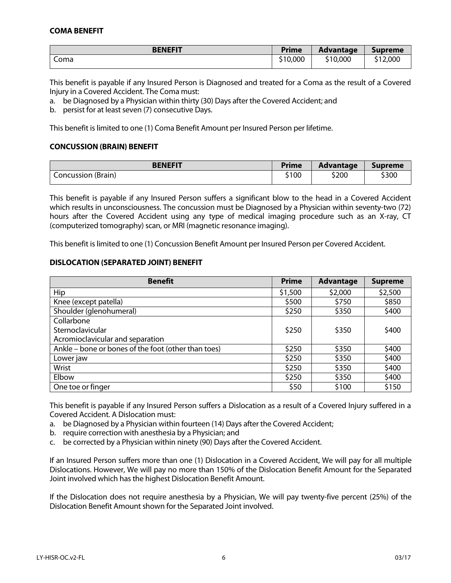#### **COMA BENEFIT**

| <b>BENEFIT</b> | <b>Prime</b> | <b>Advantage</b> | <b>Supreme</b> |
|----------------|--------------|------------------|----------------|
| Coma           | \$10,000     | \$10,000         | \$12,000       |

This benefit is payable if any Insured Person is Diagnosed and treated for a Coma as the result of a Covered Injury in a Covered Accident. The Coma must:

a. be Diagnosed by a Physician within thirty (30) Days after the Covered Accident; and

b. persist for at least seven (7) consecutive Days.

This benefit is limited to one (1) Coma Benefit Amount per Insured Person per lifetime.

#### **CONCUSSION (BRAIN) BENEFIT**

| <b>BENEFIT</b>     | <b>Prime</b> | Advantage | Supreme |
|--------------------|--------------|-----------|---------|
| Concussion (Brain) | \$100        | \$200     | \$300   |

This benefit is payable if any Insured Person suffers a significant blow to the head in a Covered Accident which results in unconsciousness. The concussion must be Diagnosed by a Physician within seventy-two (72) hours after the Covered Accident using any type of medical imaging procedure such as an X-ray, CT (computerized tomography) scan, or MRI (magnetic resonance imaging).

This benefit is limited to one (1) Concussion Benefit Amount per Insured Person per Covered Accident.

#### **DISLOCATION (SEPARATED JOINT) BENEFIT**

| <b>Benefit</b>                                      | <b>Prime</b> | <b>Advantage</b> | <b>Supreme</b> |
|-----------------------------------------------------|--------------|------------------|----------------|
| Hip                                                 | \$1,500      | \$2,000          | \$2,500        |
| Knee (except patella)                               | \$500        | \$750            | \$850          |
| Shoulder (glenohumeral)                             | \$250        | \$350            | \$400          |
| Collarbone                                          |              |                  |                |
| Sternoclavicular                                    | \$250        | \$350            | \$400          |
| Acromioclavicular and separation                    |              |                  |                |
| Ankle – bone or bones of the foot (other than toes) | \$250        | \$350            | \$400          |
| Lower jaw                                           | \$250        | \$350            | \$400          |
| Wrist                                               | \$250        | \$350            | \$400          |
| Elbow                                               | \$250        | \$350            | \$400          |
| One toe or finger                                   | \$50         | \$100            | \$150          |

This benefit is payable if any Insured Person suffers a Dislocation as a result of a Covered Injury suffered in a Covered Accident. A Dislocation must:

- a. be Diagnosed by a Physician within fourteen (14) Days after the Covered Accident;
- b. require correction with anesthesia by a Physician; and
- c. be corrected by a Physician within ninety (90) Days after the Covered Accident.

If an Insured Person suffers more than one (1) Dislocation in a Covered Accident, We will pay for all multiple Dislocations. However, We will pay no more than 150% of the Dislocation Benefit Amount for the Separated Joint involved which has the highest Dislocation Benefit Amount.

If the Dislocation does not require anesthesia by a Physician, We will pay twenty-five percent (25%) of the Dislocation Benefit Amount shown for the Separated Joint involved.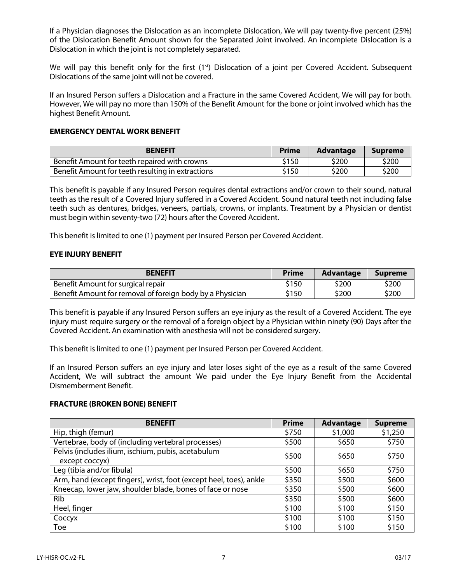If a Physician diagnoses the Dislocation as an incomplete Dislocation, We will pay twenty-five percent (25%) of the Dislocation Benefit Amount shown for the Separated Joint involved. An incomplete Dislocation is a Dislocation in which the joint is not completely separated.

We will pay this benefit only for the first  $(1<sup>st</sup>)$  Dislocation of a joint per Covered Accident. Subsequent Dislocations of the same joint will not be covered.

If an Insured Person suffers a Dislocation and a Fracture in the same Covered Accident, We will pay for both. However, We will pay no more than 150% of the Benefit Amount for the bone or joint involved which has the highest Benefit Amount.

#### **EMERGENCY DENTAL WORK BENEFIT**

| <b>BENEFIT</b>                                    | <b>Prime</b> | <b>Advantage</b> | <b>Supreme</b> |
|---------------------------------------------------|--------------|------------------|----------------|
| Benefit Amount for teeth repaired with crowns     | \$150        | \$200            | \$200          |
| Benefit Amount for teeth resulting in extractions | \$150        | \$200            | \$200          |

This benefit is payable if any Insured Person requires dental extractions and/or crown to their sound, natural teeth as the result of a Covered Injury suffered in a Covered Accident. Sound natural teeth not including false teeth such as dentures, bridges, veneers, partials, crowns, or implants. Treatment by a Physician or dentist must begin within seventy-two (72) hours after the Covered Accident.

This benefit is limited to one (1) payment per Insured Person per Covered Accident.

#### **EYE INJURY BENEFIT**

| <b>BENEFIT</b>                                            | <b>Prime</b> | Advantage | <b>Supreme</b> |
|-----------------------------------------------------------|--------------|-----------|----------------|
| Benefit Amount for surgical repair                        | \$150        | \$200     | \$200          |
| Benefit Amount for removal of foreign body by a Physician | \$150        | \$200     | \$200          |

This benefit is payable if any Insured Person suffers an eye injury as the result of a Covered Accident. The eye injury must require surgery or the removal of a foreign object by a Physician within ninety (90) Days after the Covered Accident. An examination with anesthesia will not be considered surgery.

This benefit is limited to one (1) payment per Insured Person per Covered Accident.

If an Insured Person suffers an eye injury and later loses sight of the eye as a result of the same Covered Accident, We will subtract the amount We paid under the Eye Injury Benefit from the Accidental Dismemberment Benefit.

#### **FRACTURE (BROKEN BONE) BENEFIT**

| <b>BENEFIT</b>                                                     | <b>Prime</b> | <b>Advantage</b> | <b>Supreme</b> |
|--------------------------------------------------------------------|--------------|------------------|----------------|
| Hip, thigh (femur)                                                 | \$750        | \$1,000          | \$1,250        |
| Vertebrae, body of (including vertebral processes)                 | \$500        | \$650            | \$750          |
| Pelvis (includes ilium, ischium, pubis, acetabulum                 | \$500        | \$650            | \$750          |
| except coccyx)                                                     |              |                  |                |
| Leg (tibia and/or fibula)                                          | \$500        | \$650            | \$750          |
| Arm, hand (except fingers), wrist, foot (except heel, toes), ankle | \$350        | \$500            | \$600          |
| Kneecap, lower jaw, shoulder blade, bones of face or nose          | \$350        | \$500            | \$600          |
| Rib                                                                | \$350        | \$500            | \$600          |
| Heel, finger                                                       | \$100        | \$100            | \$150          |
| Coccyx                                                             | \$100        | \$100            | \$150          |
| Toe                                                                | \$100        | \$100            | \$150          |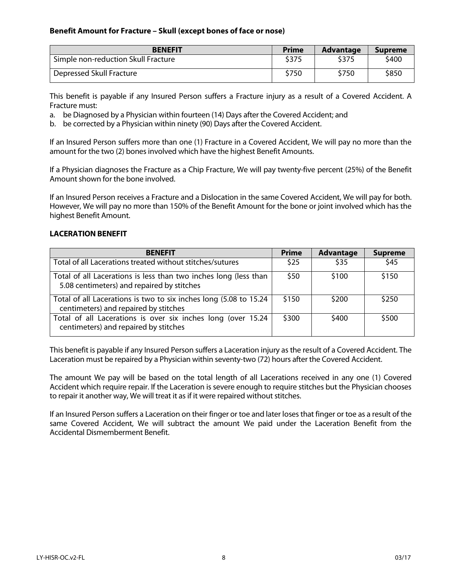#### **Benefit Amount for Fracture – Skull (except bones of face or nose)**

| <b>BENEFIT</b>                      | <b>Prime</b> | <b>Advantage</b> | <b>Supreme</b> |
|-------------------------------------|--------------|------------------|----------------|
| Simple non-reduction Skull Fracture | \$375        | \$375            | \$400          |
| Depressed Skull Fracture            | \$750        | \$750            | \$850          |

This benefit is payable if any Insured Person suffers a Fracture injury as a result of a Covered Accident. A Fracture must:

a. be Diagnosed by a Physician within fourteen (14) Days after the Covered Accident; and

b. be corrected by a Physician within ninety (90) Days after the Covered Accident.

If an Insured Person suffers more than one (1) Fracture in a Covered Accident, We will pay no more than the amount for the two (2) bones involved which have the highest Benefit Amounts.

If a Physician diagnoses the Fracture as a Chip Fracture, We will pay twenty-five percent (25%) of the Benefit Amount shown for the bone involved.

If an Insured Person receives a Fracture and a Dislocation in the same Covered Accident, We will pay for both. However, We will pay no more than 150% of the Benefit Amount for the bone or joint involved which has the highest Benefit Amount.

#### **LACERATION BENEFIT**

| <b>BENEFIT</b>                                                                                                 | <b>Prime</b> | <b>Advantage</b> | <b>Supreme</b> |
|----------------------------------------------------------------------------------------------------------------|--------------|------------------|----------------|
| Total of all Lacerations treated without stitches/sutures                                                      | \$25         | \$35             | \$45           |
| Total of all Lacerations is less than two inches long (less than<br>5.08 centimeters) and repaired by stitches | \$50         | \$100            | \$150          |
| Total of all Lacerations is two to six inches long (5.08 to 15.24<br>centimeters) and repaired by stitches     | \$150        | \$200            | \$250          |
| Total of all Lacerations is over six inches long (over 15.24<br>centimeters) and repaired by stitches          | \$300        | \$400            | \$500          |

This benefit is payable if any Insured Person suffers a Laceration injury as the result of a Covered Accident. The Laceration must be repaired by a Physician within seventy-two (72) hours after the Covered Accident.

The amount We pay will be based on the total length of all Lacerations received in any one (1) Covered Accident which require repair. If the Laceration is severe enough to require stitches but the Physician chooses to repair it another way, We will treat it as if it were repaired without stitches.

If an Insured Person suffers a Laceration on their finger or toe and later loses that finger or toe as a result of the same Covered Accident, We will subtract the amount We paid under the Laceration Benefit from the Accidental Dismemberment Benefit.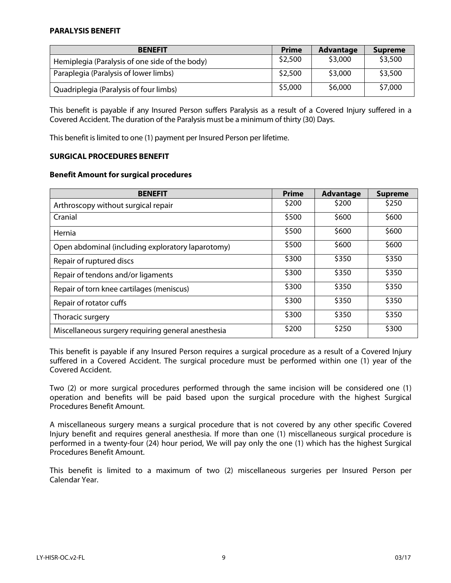#### **PARALYSIS BENEFIT**

| <b>BENEFIT</b>                                 | <b>Prime</b> | <b>Advantage</b> | <b>Supreme</b> |
|------------------------------------------------|--------------|------------------|----------------|
| Hemiplegia (Paralysis of one side of the body) | \$2,500      | \$3,000          | \$3,500        |
| Paraplegia (Paralysis of lower limbs)          | \$2,500      | \$3,000          | \$3,500        |
| Quadriplegia (Paralysis of four limbs)         | \$5,000      | \$6,000          | \$7,000        |

This benefit is payable if any Insured Person suffers Paralysis as a result of a Covered Injury suffered in a Covered Accident. The duration of the Paralysis must be a minimum of thirty (30) Days.

This benefit is limited to one (1) payment per Insured Person per lifetime.

#### **SURGICAL PROCEDURES BENEFIT**

#### **Benefit Amount for surgical procedures**

| <b>BENEFIT</b>                                     | <b>Prime</b> | <b>Advantage</b> | <b>Supreme</b> |
|----------------------------------------------------|--------------|------------------|----------------|
| Arthroscopy without surgical repair                | \$200        | \$200            | \$250          |
| Cranial                                            | \$500        | \$600            | \$600          |
| Hernia                                             | \$500        | \$600            | \$600          |
| Open abdominal (including exploratory laparotomy)  | \$500        | \$600            | \$600          |
| Repair of ruptured discs                           | \$300        | \$350            | \$350          |
| Repair of tendons and/or ligaments                 | \$300        | \$350            | \$350          |
| Repair of torn knee cartilages (meniscus)          | \$300        | \$350            | \$350          |
| Repair of rotator cuffs                            | \$300        | \$350            | \$350          |
| Thoracic surgery                                   | \$300        | \$350            | \$350          |
| Miscellaneous surgery requiring general anesthesia | \$200        | \$250            | \$300          |

This benefit is payable if any Insured Person requires a surgical procedure as a result of a Covered Injury suffered in a Covered Accident. The surgical procedure must be performed within one (1) year of the Covered Accident.

Two (2) or more surgical procedures performed through the same incision will be considered one (1) operation and benefits will be paid based upon the surgical procedure with the highest Surgical Procedures Benefit Amount.

A miscellaneous surgery means a surgical procedure that is not covered by any other specific Covered Injury benefit and requires general anesthesia. If more than one (1) miscellaneous surgical procedure is performed in a twenty-four (24) hour period, We will pay only the one (1) which has the highest Surgical Procedures Benefit Amount.

This benefit is limited to a maximum of two (2) miscellaneous surgeries per Insured Person per Calendar Year.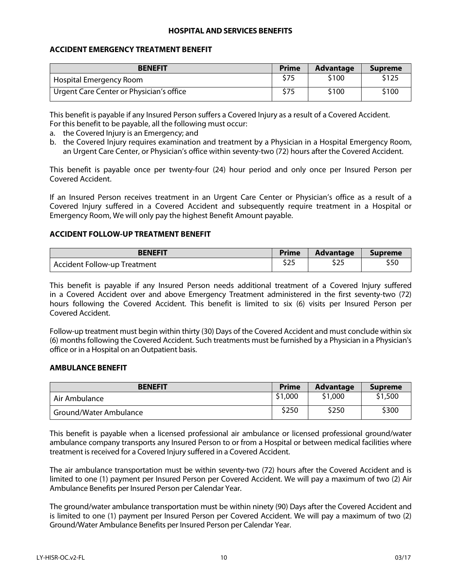#### **HOSPITAL AND SERVICES BENEFITS**

#### **ACCIDENT EMERGENCY TREATMENT BENEFIT**

| <b>BENEFIT</b>                           | <b>Prime</b> | Advantage | <b>Supreme</b> |
|------------------------------------------|--------------|-----------|----------------|
| Hospital Emergency Room                  | \$75         | \$100     | \$125          |
| Urgent Care Center or Physician's office | \$75         | \$100     | \$100          |

This benefit is payable if any Insured Person suffers a Covered Injury as a result of a Covered Accident. For this benefit to be payable, all the following must occur:

- a. the Covered Injury is an Emergency; and
- b. the Covered Injury requires examination and treatment by a Physician in a Hospital Emergency Room, an Urgent Care Center, or Physician's office within seventy-two (72) hours after the Covered Accident.

This benefit is payable once per twenty-four (24) hour period and only once per Insured Person per Covered Accident.

If an Insured Person receives treatment in an Urgent Care Center or Physician's office as a result of a Covered Injury suffered in a Covered Accident and subsequently require treatment in a Hospital or Emergency Room, We will only pay the highest Benefit Amount payable.

#### **ACCIDENT FOLLOW-UP TREATMENT BENEFIT**

| <b>BENEFIT</b>                      | <b>Prime</b>        | <b>Advantage</b> | <b>Supreme</b> |
|-------------------------------------|---------------------|------------------|----------------|
| <b>Accident Follow-up Treatment</b> | $A \cap F$<br>ـ ے د | 00 C<br>כגב      | ววบ            |

This benefit is payable if any Insured Person needs additional treatment of a Covered Injury suffered in a Covered Accident over and above Emergency Treatment administered in the first seventy-two (72) hours following the Covered Accident. This benefit is limited to six (6) visits per Insured Person per Covered Accident.

Follow-up treatment must begin within thirty (30) Days of the Covered Accident and must conclude within six (6) months following the Covered Accident. Such treatments must be furnished by a Physician in a Physician's office or in a Hospital on an Outpatient basis.

#### **AMBULANCE BENEFIT**

| <b>BENEFIT</b>         | <b>Prime</b> | <b>Advantage</b> | <b>Supreme</b> |
|------------------------|--------------|------------------|----------------|
| Air Ambulance          | \$1,000      | \$1,000          | \$1,500        |
| Ground/Water Ambulance | \$250        | \$250            | \$300          |

This benefit is payable when a licensed professional air ambulance or licensed professional ground/water ambulance company transports any Insured Person to or from a Hospital or between medical facilities where treatment is received for a Covered Injury suffered in a Covered Accident.

The air ambulance transportation must be within seventy-two (72) hours after the Covered Accident and is limited to one (1) payment per Insured Person per Covered Accident. We will pay a maximum of two (2) Air Ambulance Benefits per Insured Person per Calendar Year.

The ground/water ambulance transportation must be within ninety (90) Days after the Covered Accident and is limited to one (1) payment per Insured Person per Covered Accident. We will pay a maximum of two (2) Ground/Water Ambulance Benefits per Insured Person per Calendar Year.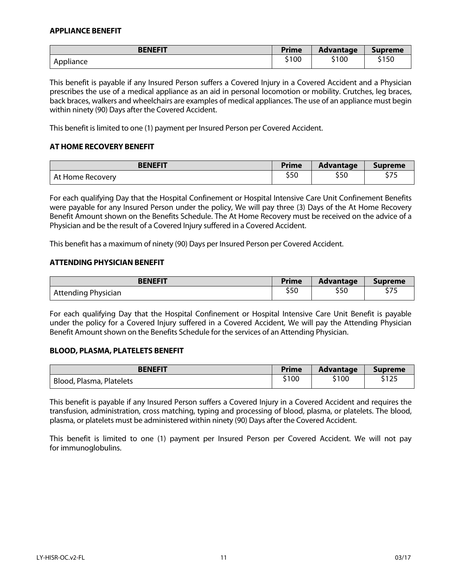#### **APPLIANCE BENEFIT**

| <b>BENEFIT</b> | <b>Prime</b> | <b>Advantage</b> | <b>Supreme</b> |
|----------------|--------------|------------------|----------------|
| Appliance      | \$100        | \$100            | \$150          |

This benefit is payable if any Insured Person suffers a Covered Injury in a Covered Accident and a Physician prescribes the use of a medical appliance as an aid in personal locomotion or mobility. Crutches, leg braces, back braces, walkers and wheelchairs are examples of medical appliances. The use of an appliance must begin within ninety (90) Days after the Covered Accident.

This benefit is limited to one (1) payment per Insured Person per Covered Accident.

#### **AT HOME RECOVERY BENEFIT**

| <b>BENEFIT</b>   | <b>Prime</b> | <b>Advantage</b> | <b>Supreme</b> |
|------------------|--------------|------------------|----------------|
| At Home Recovery | c r n<br>ววบ | \$50             | ぐつに<br>27J     |

For each qualifying Day that the Hospital Confinement or Hospital Intensive Care Unit Confinement Benefits were payable for any Insured Person under the policy, We will pay three (3) Days of the At Home Recovery Benefit Amount shown on the Benefits Schedule. The At Home Recovery must be received on the advice of a Physician and be the result of a Covered Injury suffered in a Covered Accident.

This benefit has a maximum of ninety (90) Days per Insured Person per Covered Accident.

#### **ATTENDING PHYSICIAN BENEFIT**

| <b>BENEFIT</b>      | <b>Prime</b> | Advantage | <b>Supreme</b> |
|---------------------|--------------|-----------|----------------|
| Attending Physician | c r o<br>งวบ | \$50      | \$75           |

For each qualifying Day that the Hospital Confinement or Hospital Intensive Care Unit Benefit is payable under the policy for a Covered Injury suffered in a Covered Accident, We will pay the Attending Physician Benefit Amount shown on the Benefits Schedule for the services of an Attending Physician.

#### **BLOOD, PLASMA, PLATELETS BENEFIT**

| <b>BENEFIT</b>           | <b>Prime</b> | <b>Advantage</b> | <b>Supreme</b> |
|--------------------------|--------------|------------------|----------------|
| Blood, Plasma, Platelets | \$100        | \$100            | 612F<br>21 Z.J |

This benefit is payable if any Insured Person suffers a Covered Injury in a Covered Accident and requires the transfusion, administration, cross matching, typing and processing of blood, plasma, or platelets. The blood, plasma, or platelets must be administered within ninety (90) Days after the Covered Accident.

This benefit is limited to one (1) payment per Insured Person per Covered Accident. We will not pay for immunoglobulins.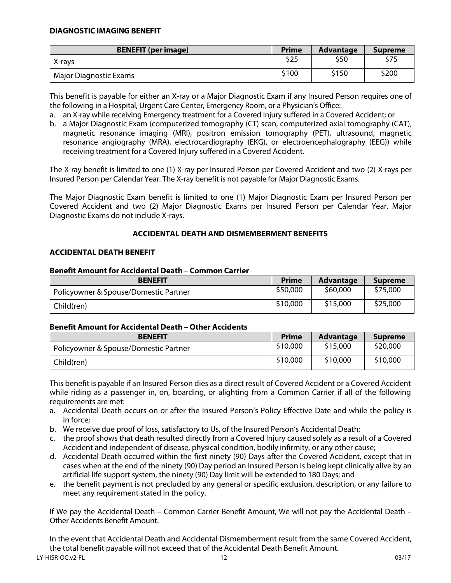| <b>BENEFIT (per image)</b> | <b>Prime</b> | <b>Advantage</b> | <b>Supreme</b> |
|----------------------------|--------------|------------------|----------------|
| X-rays                     | \$25         | \$50             | \$75           |
| Major Diagnostic Exams     | \$100        | \$150            | \$200          |

This benefit is payable for either an X-ray or a Major Diagnostic Exam if any Insured Person requires one of the following in a Hospital, Urgent Care Center, Emergency Room, or a Physician's Office:

a. an X-ray while receiving Emergency treatment for a Covered Injury suffered in a Covered Accident; or

b. a Major Diagnostic Exam (computerized tomography (CT) scan, computerized axial tomography (CAT), magnetic resonance imaging (MRI), positron emission tomography (PET), ultrasound, magnetic resonance angiography (MRA), electrocardiography (EKG), or electroencephalography (EEG)) while receiving treatment for a Covered Injury suffered in a Covered Accident.

The X-ray benefit is limited to one (1) X-ray per Insured Person per Covered Accident and two (2) X-rays per Insured Person per Calendar Year. The X-ray benefit is not payable for Major Diagnostic Exams.

The Major Diagnostic Exam benefit is limited to one (1) Major Diagnostic Exam per Insured Person per Covered Accident and two (2) Major Diagnostic Exams per Insured Person per Calendar Year. Major Diagnostic Exams do not include X-rays.

#### **ACCIDENTAL DEATH AND DISMEMBERMENT BENEFITS**

#### **ACCIDENTAL DEATH BENEFIT**

#### **Benefit Amount for Accidental Death** – **Common Carrier**

| <b>BENEFIT</b>                        | <b>Prime</b> | <b>Advantage</b> | <b>Supreme</b> |
|---------------------------------------|--------------|------------------|----------------|
| Policyowner & Spouse/Domestic Partner | \$50,000     | \$60,000         | \$75,000       |
| Child(ren)                            | \$10,000     | \$15,000         | \$25,000       |

#### **Benefit Amount for Accidental Death** – **Other Accidents**

| <b>BENEFIT</b>                        | <b>Prime</b> | <b>Advantage</b> | <b>Supreme</b> |
|---------------------------------------|--------------|------------------|----------------|
| Policyowner & Spouse/Domestic Partner | \$10,000     | \$15,000         | \$20,000       |
| Child(ren)                            | \$10,000     | \$10,000         | \$10,000       |

This benefit is payable if an Insured Person dies as a direct result of Covered Accident or a Covered Accident while riding as a passenger in, on, boarding, or alighting from a Common Carrier if all of the following requirements are met:

- a. Accidental Death occurs on or after the Insured Person's Policy Effective Date and while the policy is in force;
- b. We receive due proof of loss, satisfactory to Us, of the Insured Person's Accidental Death;
- c. the proof shows that death resulted directly from a Covered Injury caused solely as a result of a Covered Accident and independent of disease, physical condition, bodily infirmity, or any other cause;
- d. Accidental Death occurred within the first ninety (90) Days after the Covered Accident, except that in cases when at the end of the ninety (90) Day period an Insured Person is being kept clinically alive by an artificial life support system, the ninety (90) Day limit will be extended to 180 Days; and
- e. the benefit payment is not precluded by any general or specific exclusion, description, or any failure to meet any requirement stated in the policy.

If We pay the Accidental Death – Common Carrier Benefit Amount, We will not pay the Accidental Death – Other Accidents Benefit Amount.

LY-HISR-OC.v2-FL 12 03/17 In the event that Accidental Death and Accidental Dismemberment result from the same Covered Accident, the total benefit payable will not exceed that of the Accidental Death Benefit Amount.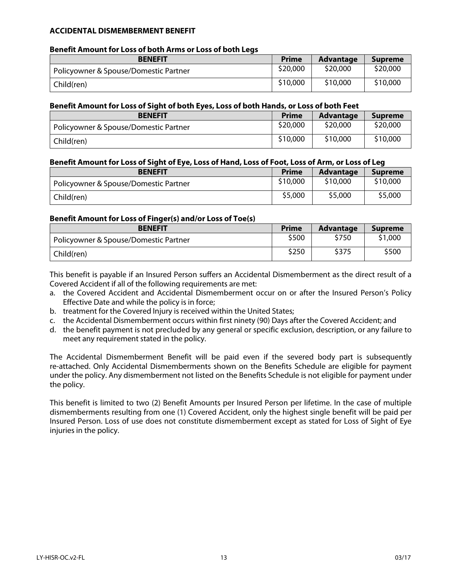#### **ACCIDENTAL DISMEMBERMENT BENEFIT**

#### **Benefit Amount for Loss of both Arms or Loss of both Legs**

| <b>BENEFIT</b>                        | <b>Prime</b> | <b>Advantage</b> | <b>Supreme</b> |
|---------------------------------------|--------------|------------------|----------------|
| Policyowner & Spouse/Domestic Partner | \$20,000     | \$20,000         | \$20,000       |
| Child(ren)                            | \$10,000     | \$10,000         | \$10,000       |

#### **Benefit Amount for Loss of Sight of both Eyes, Loss of both Hands, or Loss of both Feet**

| <b>BENEFIT</b>                        | <b>Prime</b> | <b>Advantage</b> | <b>Supreme</b> |
|---------------------------------------|--------------|------------------|----------------|
| Policyowner & Spouse/Domestic Partner | \$20,000     | \$20,000         | \$20,000       |
| Child(ren)                            | \$10,000     | \$10,000         | \$10,000       |

#### **Benefit Amount for Loss of Sight of Eye, Loss of Hand, Loss of Foot, Loss of Arm, or Loss of Leg**

| <b>BENEFIT</b>                        | <b>Prime</b> | <b>Advantage</b> | <b>Supreme</b> |
|---------------------------------------|--------------|------------------|----------------|
| Policyowner & Spouse/Domestic Partner | \$10,000     | \$10,000         | \$10,000       |
| Child(ren)                            | \$5,000      | \$5,000          | \$5,000        |

#### **Benefit Amount for Loss of Finger(s) and/or Loss of Toe(s)**

| <b>BENEFIT</b>                        | Prime | <b>Advantage</b> | <b>Supreme</b> |
|---------------------------------------|-------|------------------|----------------|
| Policyowner & Spouse/Domestic Partner | \$500 | \$750            | \$1,000        |
| Child(ren)                            | \$250 | \$375            | \$500          |

This benefit is payable if an Insured Person suffers an Accidental Dismemberment as the direct result of a Covered Accident if all of the following requirements are met:

- a. the Covered Accident and Accidental Dismemberment occur on or after the Insured Person's Policy Effective Date and while the policy is in force;
- b. treatment for the Covered Injury is received within the United States;
- c. the Accidental Dismemberment occurs within first ninety (90) Days after the Covered Accident; and
- d. the benefit payment is not precluded by any general or specific exclusion, description, or any failure to meet any requirement stated in the policy.

The Accidental Dismemberment Benefit will be paid even if the severed body part is subsequently re-attached. Only Accidental Dismemberments shown on the Benefits Schedule are eligible for payment under the policy. Any dismemberment not listed on the Benefits Schedule is not eligible for payment under the policy.

This benefit is limited to two (2) Benefit Amounts per Insured Person per lifetime. In the case of multiple dismemberments resulting from one (1) Covered Accident, only the highest single benefit will be paid per Insured Person. Loss of use does not constitute dismemberment except as stated for Loss of Sight of Eye injuries in the policy.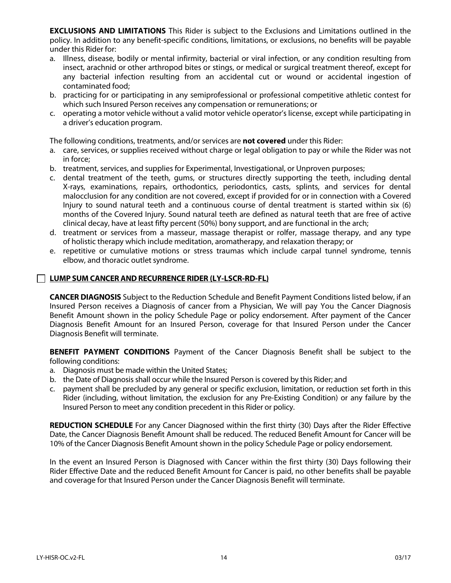**EXCLUSIONS AND LIMITATIONS** This Rider is subject to the Exclusions and Limitations outlined in the policy. In addition to any benefit-specific conditions, limitations, or exclusions, no benefits will be payable under this Rider for:

- a. Illness, disease, bodily or mental infirmity, bacterial or viral infection, or any condition resulting from insect, arachnid or other arthropod bites or stings, or medical or surgical treatment thereof, except for any bacterial infection resulting from an accidental cut or wound or accidental ingestion of contaminated food;
- b. practicing for or participating in any semiprofessional or professional competitive athletic contest for which such Insured Person receives any compensation or remunerations; or
- c. operating a motor vehicle without a valid motor vehicle operator's license, except while participating in a driver's education program.

The following conditions, treatments, and/or services are **not covered** under this Rider:

- a. care, services, or supplies received without charge or legal obligation to pay or while the Rider was not in force;
- b. treatment, services, and supplies for Experimental, Investigational, or Unproven purposes;
- c. dental treatment of the teeth, gums, or structures directly supporting the teeth, including dental X-rays, examinations, repairs, orthodontics, periodontics, casts, splints, and services for dental malocclusion for any condition are not covered, except if provided for or in connection with a Covered Injury to sound natural teeth and a continuous course of dental treatment is started within six (6) months of the Covered Injury. Sound natural teeth are defined as natural teeth that are free of active clinical decay, have at least fifty percent (50%) bony support, and are functional in the arch;
- d. treatment or services from a masseur, massage therapist or rolfer, massage therapy, and any type of holistic therapy which include meditation, aromatherapy, and relaxation therapy; or
- e. repetitive or cumulative motions or stress traumas which include carpal tunnel syndrome, tennis elbow, and thoracic outlet syndrome.

#### **LUMP SUM CANCER AND RECURRENCE RIDER (LY-LSCR-RD-FL)**

**CANCER DIAGNOSIS** Subject to the Reduction Schedule and Benefit Payment Conditions listed below, if an Insured Person receives a Diagnosis of cancer from a Physician, We will pay You the Cancer Diagnosis Benefit Amount shown in the policy Schedule Page or policy endorsement. After payment of the Cancer Diagnosis Benefit Amount for an Insured Person, coverage for that Insured Person under the Cancer Diagnosis Benefit will terminate.

**BENEFIT PAYMENT CONDITIONS** Payment of the Cancer Diagnosis Benefit shall be subject to the following conditions:

- a. Diagnosis must be made within the United States;
- b. the Date of Diagnosis shall occur while the Insured Person is covered by this Rider; and
- c. payment shall be precluded by any general or specific exclusion, limitation, or reduction set forth in this Rider (including, without limitation, the exclusion for any Pre-Existing Condition) or any failure by the Insured Person to meet any condition precedent in this Rider or policy.

**REDUCTION SCHEDULE** For any Cancer Diagnosed within the first thirty (30) Days after the Rider Effective Date, the Cancer Diagnosis Benefit Amount shall be reduced. The reduced Benefit Amount for Cancer will be 10% of the Cancer Diagnosis Benefit Amount shown in the policy Schedule Page or policy endorsement.

In the event an Insured Person is Diagnosed with Cancer within the first thirty (30) Days following their Rider Effective Date and the reduced Benefit Amount for Cancer is paid, no other benefits shall be payable and coverage for that Insured Person under the Cancer Diagnosis Benefit will terminate.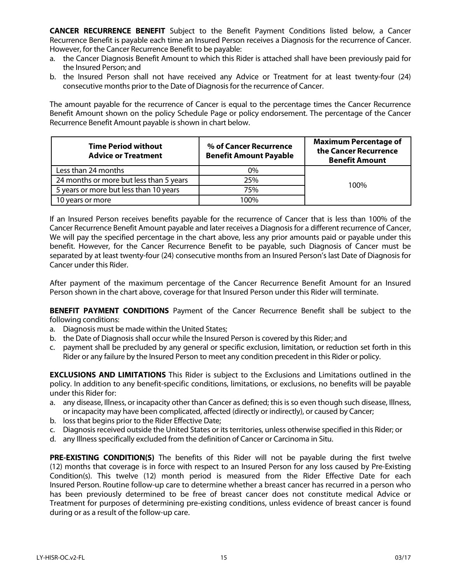**CANCER RECURRENCE BENEFIT** Subject to the Benefit Payment Conditions listed below, a Cancer Recurrence Benefit is payable each time an Insured Person receives a Diagnosis for the recurrence of Cancer. However, for the Cancer Recurrence Benefit to be payable:

- a. the Cancer Diagnosis Benefit Amount to which this Rider is attached shall have been previously paid for the Insured Person; and
- b. the Insured Person shall not have received any Advice or Treatment for at least twenty-four (24) consecutive months prior to the Date of Diagnosis for the recurrence of Cancer.

The amount payable for the recurrence of Cancer is equal to the percentage times the Cancer Recurrence Benefit Amount shown on the policy Schedule Page or policy endorsement. The percentage of the Cancer Recurrence Benefit Amount payable is shown in chart below.

| <b>Time Period without</b><br><b>Advice or Treatment</b> | % of Cancer Recurrence<br><b>Benefit Amount Payable</b> | <b>Maximum Percentage of</b><br>the Cancer Recurrence<br><b>Benefit Amount</b> |  |
|----------------------------------------------------------|---------------------------------------------------------|--------------------------------------------------------------------------------|--|
| Less than 24 months                                      | 0%                                                      |                                                                                |  |
| 24 months or more but less than 5 years                  | 25%                                                     | 100%                                                                           |  |
| 5 years or more but less than 10 years                   | 75%                                                     |                                                                                |  |
| 10 years or more                                         | 100%                                                    |                                                                                |  |

If an Insured Person receives benefits payable for the recurrence of Cancer that is less than 100% of the Cancer Recurrence Benefit Amount payable and later receives a Diagnosis for a different recurrence of Cancer, We will pay the specified percentage in the chart above, less any prior amounts paid or payable under this benefit. However, for the Cancer Recurrence Benefit to be payable, such Diagnosis of Cancer must be separated by at least twenty-four (24) consecutive months from an Insured Person's last Date of Diagnosis for Cancer under this Rider.

After payment of the maximum percentage of the Cancer Recurrence Benefit Amount for an Insured Person shown in the chart above, coverage for that Insured Person under this Rider will terminate.

**BENEFIT PAYMENT CONDITIONS** Payment of the Cancer Recurrence Benefit shall be subject to the following conditions:

- a. Diagnosis must be made within the United States;
- b. the Date of Diagnosis shall occur while the Insured Person is covered by this Rider; and
- c. payment shall be precluded by any general or specific exclusion, limitation, or reduction set forth in this Rider or any failure by the Insured Person to meet any condition precedent in this Rider or policy.

**EXCLUSIONS AND LIMITATIONS** This Rider is subject to the Exclusions and Limitations outlined in the policy. In addition to any benefit-specific conditions, limitations, or exclusions, no benefits will be payable under this Rider for:

- a. any disease, Illness, or incapacity other than Cancer as defined; this is so even though such disease, Illness, or incapacity may have been complicated, affected (directly or indirectly), or caused by Cancer;
- b. loss that begins prior to the Rider Effective Date;
- c. Diagnosis received outside the United States or its territories, unless otherwise specified in this Rider; or
- d. any Illness specifically excluded from the definition of Cancer or Carcinoma in Situ.

PRE-EXISTING CONDITION(S) The benefits of this Rider will not be payable during the first twelve (12) months that coverage is in force with respect to an Insured Person for any loss caused by Pre-Existing Condition(s). This twelve (12) month period is measured from the Rider Effective Date for each Insured Person. Routine follow-up care to determine whether a breast cancer has recurred in a person who has been previously determined to be free of breast cancer does not constitute medical Advice or Treatment for purposes of determining pre-existing conditions, unless evidence of breast cancer is found during or as a result of the follow-up care.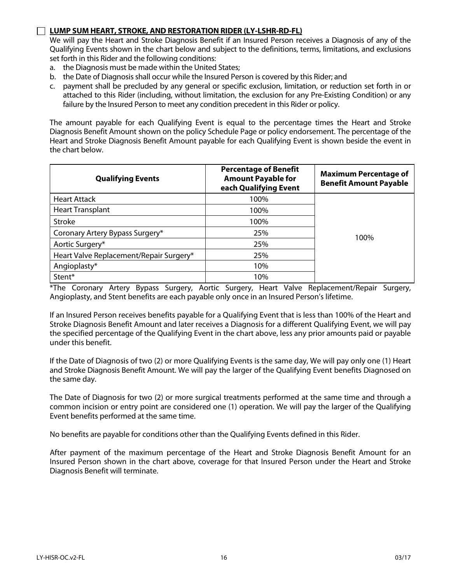#### **LUMP SUM HEART, STROKE, AND RESTORATION RIDER (LY-LSHR-RD-FL)**

We will pay the Heart and Stroke Diagnosis Benefit if an Insured Person receives a Diagnosis of any of the Qualifying Events shown in the chart below and subject to the definitions, terms, limitations, and exclusions set forth in this Rider and the following conditions:

- a. the Diagnosis must be made within the United States;
- b. the Date of Diagnosis shall occur while the Insured Person is covered by this Rider; and
- c. payment shall be precluded by any general or specific exclusion, limitation, or reduction set forth in or attached to this Rider (including, without limitation, the exclusion for any Pre-Existing Condition) or any failure by the Insured Person to meet any condition precedent in this Rider or policy.

The amount payable for each Qualifying Event is equal to the percentage times the Heart and Stroke Diagnosis Benefit Amount shown on the policy Schedule Page or policy endorsement. The percentage of the Heart and Stroke Diagnosis Benefit Amount payable for each Qualifying Event is shown beside the event in the chart below.

| <b>Qualifying Events</b>                | <b>Percentage of Benefit</b><br><b>Amount Payable for</b><br>each Qualifying Event | <b>Maximum Percentage of</b><br><b>Benefit Amount Payable</b> |
|-----------------------------------------|------------------------------------------------------------------------------------|---------------------------------------------------------------|
| <b>Heart Attack</b>                     | 100%                                                                               |                                                               |
| <b>Heart Transplant</b>                 | 100%                                                                               |                                                               |
| <b>Stroke</b>                           | 100%                                                                               |                                                               |
| Coronary Artery Bypass Surgery*         | 25%                                                                                | 100%                                                          |
| Aortic Surgery*                         | 25%                                                                                |                                                               |
| Heart Valve Replacement/Repair Surgery* | 25%                                                                                |                                                               |
| Angioplasty*                            | 10%                                                                                |                                                               |
| Stent <sup>*</sup>                      | 10%                                                                                |                                                               |

\*The Coronary Artery Bypass Surgery, Aortic Surgery, Heart Valve Replacement/Repair Surgery, Angioplasty, and Stent benefits are each payable only once in an Insured Person's lifetime.

If an Insured Person receives benefits payable for a Qualifying Event that is less than 100% of the Heart and Stroke Diagnosis Benefit Amount and later receives a Diagnosis for a different Qualifying Event, we will pay the specified percentage of the Qualifying Event in the chart above, less any prior amounts paid or payable under this benefit.

If the Date of Diagnosis of two (2) or more Qualifying Events is the same day, We will pay only one (1) Heart and Stroke Diagnosis Benefit Amount. We will pay the larger of the Qualifying Event benefits Diagnosed on the same day.

The Date of Diagnosis for two (2) or more surgical treatments performed at the same time and through a common incision or entry point are considered one (1) operation. We will pay the larger of the Qualifying Event benefits performed at the same time.

No benefits are payable for conditions other than the Qualifying Events defined in this Rider.

After payment of the maximum percentage of the Heart and Stroke Diagnosis Benefit Amount for an Insured Person shown in the chart above, coverage for that Insured Person under the Heart and Stroke Diagnosis Benefit will terminate.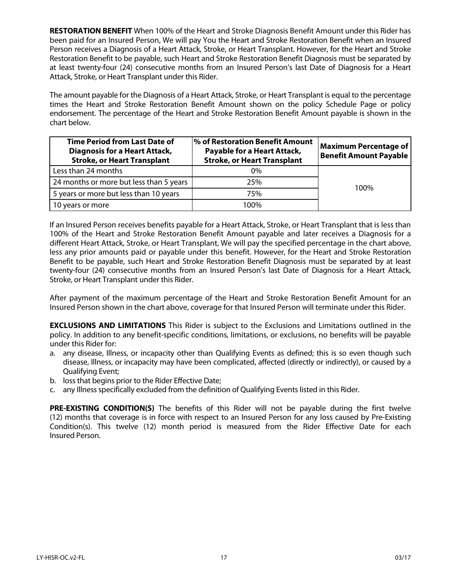**RESTORATION BENEFIT** When 100% of the Heart and Stroke Diagnosis Benefit Amount under this Rider has been paid for an Insured Person, We will pay You the Heart and Stroke Restoration Benefit when an Insured Person receives a Diagnosis of a Heart Attack, Stroke, or Heart Transplant. However, for the Heart and Stroke Restoration Benefit to be payable, such Heart and Stroke Restoration Benefit Diagnosis must be separated by at least twenty-four (24) consecutive months from an Insured Person's last Date of Diagnosis for a Heart Attack, Stroke, or Heart Transplant under this Rider.

The amount payable for the Diagnosis of a Heart Attack, Stroke, or Heart Transplant is equal to the percentage times the Heart and Stroke Restoration Benefit Amount shown on the policy Schedule Page or policy endorsement. The percentage of the Heart and Stroke Restoration Benefit Amount payable is shown in the chart below.

| <b>Time Period from Last Date of</b><br><b>Diagnosis for a Heart Attack,</b><br><b>Stroke, or Heart Transplant</b> | % of Restoration Benefit Amount<br>Payable for a Heart Attack,<br><b>Stroke, or Heart Transplant</b> | <b>Maximum Percentage of</b><br><b>Benefit Amount Payable</b> |  |
|--------------------------------------------------------------------------------------------------------------------|------------------------------------------------------------------------------------------------------|---------------------------------------------------------------|--|
| Less than 24 months                                                                                                | $0\%$                                                                                                |                                                               |  |
| 24 months or more but less than 5 years                                                                            | 25%                                                                                                  | 100%                                                          |  |
| 5 years or more but less than 10 years                                                                             | 75%                                                                                                  |                                                               |  |
| 10 years or more                                                                                                   | 100%                                                                                                 |                                                               |  |

If an Insured Person receives benefits payable for a Heart Attack, Stroke, or Heart Transplant that is less than 100% of the Heart and Stroke Restoration Benefit Amount payable and later receives a Diagnosis for a different Heart Attack, Stroke, or Heart Transplant, We will pay the specified percentage in the chart above, less any prior amounts paid or payable under this benefit. However, for the Heart and Stroke Restoration Benefit to be payable, such Heart and Stroke Restoration Benefit Diagnosis must be separated by at least twenty-four (24) consecutive months from an Insured Person's last Date of Diagnosis for a Heart Attack, Stroke, or Heart Transplant under this Rider.

After payment of the maximum percentage of the Heart and Stroke Restoration Benefit Amount for an Insured Person shown in the chart above, coverage for that Insured Person will terminate under this Rider.

**EXCLUSIONS AND LIMITATIONS** This Rider is subject to the Exclusions and Limitations outlined in the policy. In addition to any benefit-specific conditions, limitations, or exclusions, no benefits will be payable under this Rider for:

- a. any disease, Illness, or incapacity other than Qualifying Events as defined; this is so even though such disease, Illness, or incapacity may have been complicated, affected (directly or indirectly), or caused by a Qualifying Event;
- b. loss that begins prior to the Rider Effective Date;
- c. any Illness specifically excluded from the definition of Qualifying Events listed in this Rider.

**PRE-EXISTING CONDITION(S)** The benefits of this Rider will not be payable during the first twelve (12) months that coverage is in force with respect to an Insured Person for any loss caused by Pre-Existing Condition(s). This twelve (12) month period is measured from the Rider Effective Date for each Insured Person.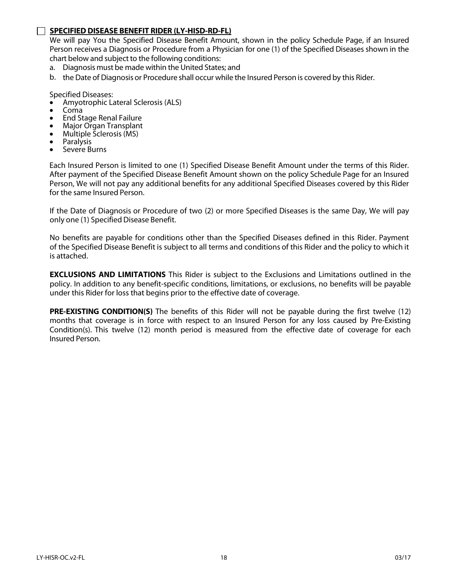#### **SPECIFIED DISEASE BENEFIT RIDER (LY-HISD-RD-FL)**

We will pay You the Specified Disease Benefit Amount, shown in the policy Schedule Page, if an Insured Person receives a Diagnosis or Procedure from a Physician for one (1) of the Specified Diseases shown in the chart below and subject to the following conditions:

- a. Diagnosis must be made within the United States; and
- b. the Date of Diagnosis or Procedure shall occur while the Insured Person is covered by this Rider.

Specified Diseases:

- Amyotrophic Lateral Sclerosis (ALS) Coma End Stage Renal Failure Major Organ Transplant Multiple Sclerosis (MS) Paralysis Severe Burns
- 
- 
- 
- 
- 
- 

Each Insured Person is limited to one (1) Specified Disease Benefit Amount under the terms of this Rider. After payment of the Specified Disease Benefit Amount shown on the policy Schedule Page for an Insured Person, We will not pay any additional benefits for any additional Specified Diseases covered by this Rider for the same Insured Person.

If the Date of Diagnosis or Procedure of two (2) or more Specified Diseases is the same Day, We will pay only one (1) Specified Disease Benefit.

No benefits are payable for conditions other than the Specified Diseases defined in this Rider. Payment of the Specified Disease Benefit is subject to all terms and conditions of this Rider and the policy to which it is attached.

**EXCLUSIONS AND LIMITATIONS** This Rider is subject to the Exclusions and Limitations outlined in the policy. In addition to any benefit-specific conditions, limitations, or exclusions, no benefits will be payable under this Rider for loss that begins prior to the effective date of coverage.

**PRE-EXISTING CONDITION(S)** The benefits of this Rider will not be payable during the first twelve (12) months that coverage is in force with respect to an Insured Person for any loss caused by Pre-Existing Condition(s). This twelve (12) month period is measured from the effective date of coverage for each Insured Person.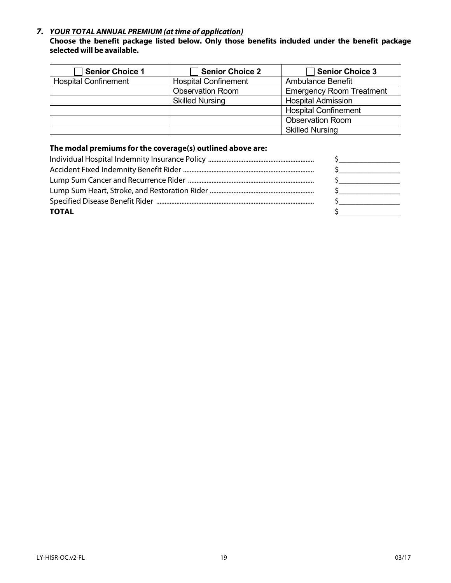#### *7. YOUR TOTAL ANNUAL PREMIUM (at time of application)*

#### **Choose the benefit package listed below. Only those benefits included under the benefit package selected will be available.**

| Senior Choice 1             | Senior Choice 2             | <b>Senior Choice 3</b>          |
|-----------------------------|-----------------------------|---------------------------------|
| <b>Hospital Confinement</b> | <b>Hospital Confinement</b> | <b>Ambulance Benefit</b>        |
|                             | <b>Observation Room</b>     | <b>Emergency Room Treatment</b> |
|                             | <b>Skilled Nursing</b>      | <b>Hospital Admission</b>       |
|                             |                             | <b>Hospital Confinement</b>     |
|                             |                             | <b>Observation Room</b>         |
|                             |                             | <b>Skilled Nursing</b>          |

#### **The modal premiums for the coverage(s) outlined above are:**

| <b>TOTAL</b> |  |
|--------------|--|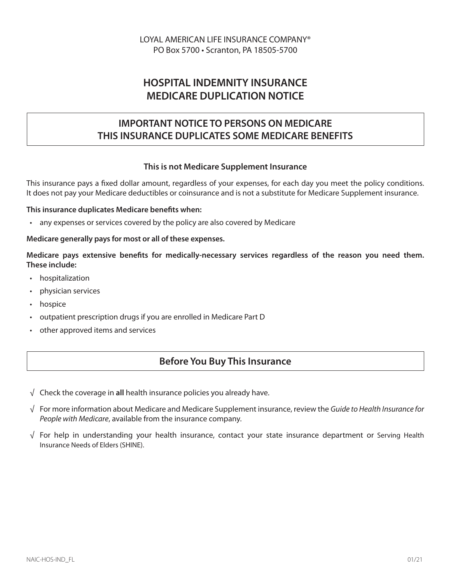## **HOSPITAL INDEMNITY INSURANCE MEDICARE DUPLICATION NOTICE**

## **IMPORTANT NOTICE TO PERSONS ON MEDICARE THIS INSURANCE DUPLICATES SOME MEDICARE BENEFITS**

#### **This is not Medicare Supplement Insurance**

This insurance pays a fixed dollar amount, regardless of your expenses, for each day you meet the policy conditions. It does not pay your Medicare deductibles or coinsurance and is not a substitute for Medicare Supplement insurance.

#### **This insurance duplicates Medicare benefits when:**

• any expenses or services covered by the policy are also covered by Medicare

#### **Medicare generally pays for most or all of these expenses.**

Medicare pays extensive benefits for medically-necessary services regardless of the reason you need them. **These include:** 

- hospitalization
- physician services
- hospice
- outpatient prescription drugs if you are enrolled in Medicare Part D
- other approved items and services

### **Before You Buy This Insurance**

- √ Check the coverage in **all** health insurance policies you already have.
- √ For more information about Medicare and Medicare Supplement insurance, review the *Guide to Health Insurance for People with Medicare*, available from the insurance company.
- √ For help in understanding your health insurance, contact your state insurance department or Serving Health Insurance Needs of Elders (SHINE).